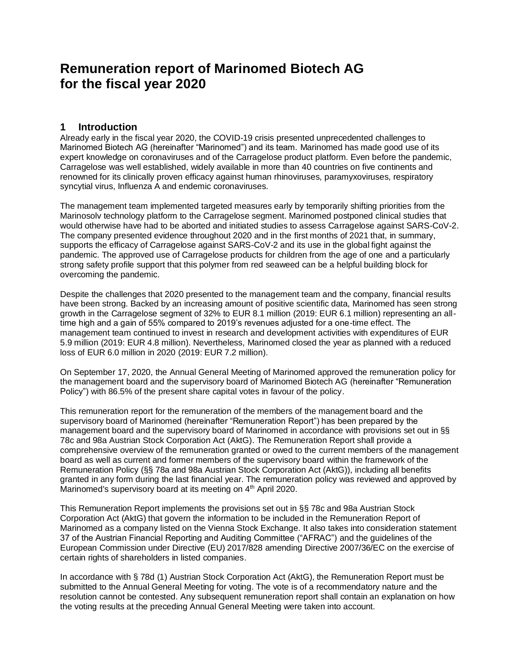# **Remuneration report of Marinomed Biotech AG for the fiscal year 2020**

## **1 Introduction**

Already early in the fiscal year 2020, the COVID-19 crisis presented unprecedented challenges to Marinomed Biotech AG (hereinafter "Marinomed") and its team. Marinomed has made good use of its expert knowledge on coronaviruses and of the Carragelose product platform. Even before the pandemic, Carragelose was well established, widely available in more than 40 countries on five continents and renowned for its clinically proven efficacy against human rhinoviruses, paramyxoviruses, respiratory syncytial virus, Influenza A and endemic coronaviruses.

The management team implemented targeted measures early by temporarily shifting priorities from the Marinosolv technology platform to the Carragelose segment. Marinomed postponed clinical studies that would otherwise have had to be aborted and initiated studies to assess Carragelose against SARS-CoV-2. The company presented evidence throughout 2020 and in the first months of 2021 that, in summary, supports the efficacy of Carragelose against SARS-CoV-2 and its use in the global fight against the pandemic. The approved use of Carragelose products for children from the age of one and a particularly strong safety profile support that this polymer from red seaweed can be a helpful building block for overcoming the pandemic.

Despite the challenges that 2020 presented to the management team and the company, financial results have been strong. Backed by an increasing amount of positive scientific data, Marinomed has seen strong growth in the Carragelose segment of 32% to EUR 8.1 million (2019: EUR 6.1 million) representing an alltime high and a gain of 55% compared to 2019's revenues adjusted for a one-time effect. The management team continued to invest in research and development activities with expenditures of EUR 5.9 million (2019: EUR 4.8 million). Nevertheless, Marinomed closed the year as planned with a reduced loss of EUR 6.0 million in 2020 (2019: EUR 7.2 million).

On September 17, 2020, the Annual General Meeting of Marinomed approved the remuneration policy for the management board and the supervisory board of Marinomed Biotech AG (hereinafter "Remuneration Policy") with 86.5% of the present share capital votes in favour of the policy.

This remuneration report for the remuneration of the members of the management board and the supervisory board of Marinomed (hereinafter "Remuneration Report") has been prepared by the management board and the supervisory board of Marinomed in accordance with provisions set out in §§ 78c and 98a Austrian Stock Corporation Act (AktG). The Remuneration Report shall provide a comprehensive overview of the remuneration granted or owed to the current members of the management board as well as current and former members of the supervisory board within the framework of the Remuneration Policy (§§ 78a and 98a Austrian Stock Corporation Act (AktG)), including all benefits granted in any form during the last financial year. The remuneration policy was reviewed and approved by Marinomed's supervisory board at its meeting on 4<sup>th</sup> April 2020.

This Remuneration Report implements the provisions set out in §§ 78c and 98a Austrian Stock Corporation Act (AktG) that govern the information to be included in the Remuneration Report of Marinomed as a company listed on the Vienna Stock Exchange. It also takes into consideration statement 37 of the Austrian Financial Reporting and Auditing Committee ("AFRAC") and the guidelines of the European Commission under Directive (EU) 2017/828 amending Directive 2007/36/EC on the exercise of certain rights of shareholders in listed companies.

In accordance with § 78d (1) Austrian Stock Corporation Act (AktG), the Remuneration Report must be submitted to the Annual General Meeting for voting. The vote is of a recommendatory nature and the resolution cannot be contested. Any subsequent remuneration report shall contain an explanation on how the voting results at the preceding Annual General Meeting were taken into account.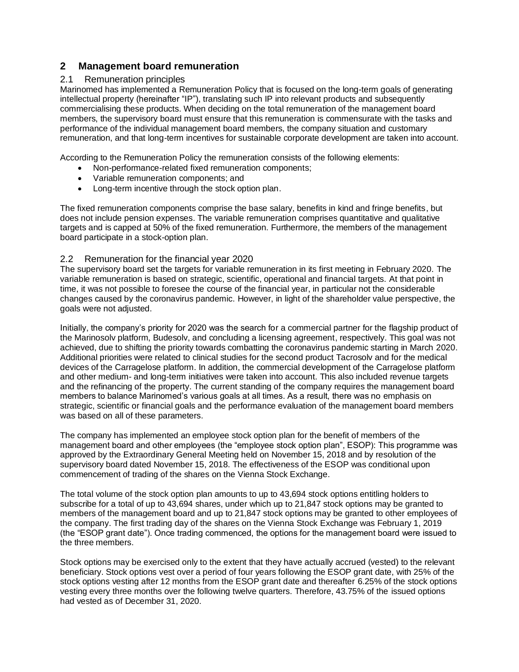## **2 Management board remuneration**

#### 2.1 Remuneration principles

Marinomed has implemented a Remuneration Policy that is focused on the long-term goals of generating intellectual property (hereinafter "IP"), translating such IP into relevant products and subsequently commercialising these products. When deciding on the total remuneration of the management board members, the supervisory board must ensure that this remuneration is commensurate with the tasks and performance of the individual management board members, the company situation and customary remuneration, and that long-term incentives for sustainable corporate development are taken into account.

According to the Remuneration Policy the remuneration consists of the following elements:

- Non-performance-related fixed remuneration components;
- Variable remuneration components; and
- Long-term incentive through the stock option plan.

The fixed remuneration components comprise the base salary, benefits in kind and fringe benefits, but does not include pension expenses. The variable remuneration comprises quantitative and qualitative targets and is capped at 50% of the fixed remuneration. Furthermore, the members of the management board participate in a stock-option plan.

#### 2.2 Remuneration for the financial year 2020

The supervisory board set the targets for variable remuneration in its first meeting in February 2020. The variable remuneration is based on strategic, scientific, operational and financial targets. At that point in time, it was not possible to foresee the course of the financial year, in particular not the considerable changes caused by the coronavirus pandemic. However, in light of the shareholder value perspective, the goals were not adjusted.

Initially, the company's priority for 2020 was the search for a commercial partner for the flagship product of the Marinosolv platform, Budesolv, and concluding a licensing agreement, respectively. This goal was not achieved, due to shifting the priority towards combatting the coronavirus pandemic starting in March 2020. Additional priorities were related to clinical studies for the second product Tacrosolv and for the medical devices of the Carragelose platform. In addition, the commercial development of the Carragelose platform and other medium- and long-term initiatives were taken into account. This also included revenue targets and the refinancing of the property. The current standing of the company requires the management board members to balance Marinomed's various goals at all times. As a result, there was no emphasis on strategic, scientific or financial goals and the performance evaluation of the management board members was based on all of these parameters.

The company has implemented an employee stock option plan for the benefit of members of the management board and other employees (the "employee stock option plan", ESOP): This programme was approved by the Extraordinary General Meeting held on November 15, 2018 and by resolution of the supervisory board dated November 15, 2018. The effectiveness of the ESOP was conditional upon commencement of trading of the shares on the Vienna Stock Exchange.

The total volume of the stock option plan amounts to up to 43,694 stock options entitling holders to subscribe for a total of up to 43,694 shares, under which up to 21,847 stock options may be granted to members of the management board and up to 21,847 stock options may be granted to other employees of the company. The first trading day of the shares on the Vienna Stock Exchange was February 1, 2019 (the "ESOP grant date"). Once trading commenced, the options for the management board were issued to the three members.

Stock options may be exercised only to the extent that they have actually accrued (vested) to the relevant beneficiary. Stock options vest over a period of four years following the ESOP grant date, with 25% of the stock options vesting after 12 months from the ESOP grant date and thereafter 6.25% of the stock options vesting every three months over the following twelve quarters. Therefore, 43.75% of the issued options had vested as of December 31, 2020.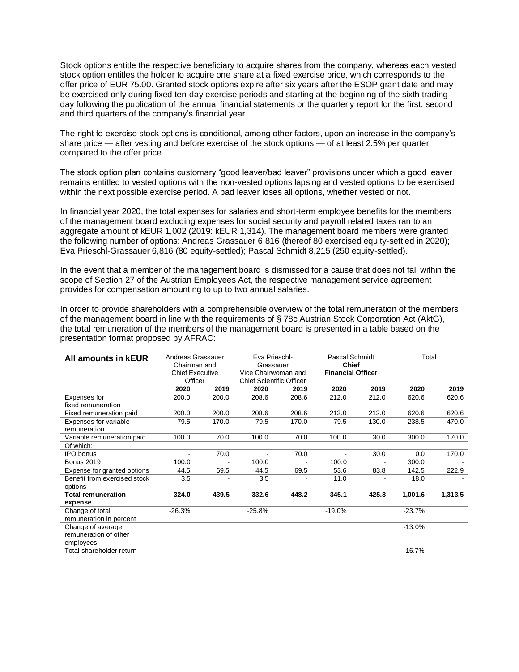Stock options entitle the respective beneficiary to acquire shares from the company, whereas each vested stock option entitles the holder to acquire one share at a fixed exercise price, which corresponds to the offer price of EUR 75.00. Granted stock options expire after six years after the ESOP grant date and may be exercised only during fixed ten-day exercise periods and starting at the beginning of the sixth trading day following the publication of the annual financial statements or the quarterly report for the first, second and third quarters of the company's financial year.

The right to exercise stock options is conditional, among other factors, upon an increase in the company's share price — after vesting and before exercise of the stock options — of at least 2.5% per quarter compared to the offer price.

The stock option plan contains customary "good leaver/bad leaver" provisions under which a good leaver remains entitled to vested options with the non-vested options lapsing and vested options to be exercised within the next possible exercise period. A bad leaver loses all options, whether vested or not.

In financial year 2020, the total expenses for salaries and short-term employee benefits for the members of the management board excluding expenses for social security and payroll related taxes ran to an aggregate amount of kEUR 1,002 (2019: kEUR 1,314). The management board members were granted the following number of options: Andreas Grassauer 6,816 (thereof 80 exercised equity-settled in 2020); Eva Prieschl-Grassauer 6,816 (80 equity-settled); Pascal Schmidt 8,215 (250 equity-settled).

In the event that a member of the management board is dismissed for a cause that does not fall within the scope of Section 27 of the Austrian Employees Act, the respective management service agreement provides for compensation amounting to up to two annual salaries.

In order to provide shareholders with a comprehensible overview of the total remuneration of the members of the management board in line with the requirements of § 78c Austrian Stock Corporation Act (AktG), the total remuneration of the members of the management board is presented in a table based on the presentation format proposed by AFRAC:

| All amounts in <b>kEUR</b>              | Andreas Grassauer<br>Chairman and<br><b>Chief Executive</b><br>Officer |       | Eva Prieschl-<br>Grassauer<br>Vice Chairwoman and<br><b>Chief Scientific Officer</b> |       | Pascal Schmidt<br><b>Chief</b><br><b>Financial Officer</b> |       | Total    |         |
|-----------------------------------------|------------------------------------------------------------------------|-------|--------------------------------------------------------------------------------------|-------|------------------------------------------------------------|-------|----------|---------|
|                                         |                                                                        |       |                                                                                      |       |                                                            |       |          |         |
|                                         |                                                                        |       |                                                                                      |       |                                                            |       |          |         |
|                                         | 2020                                                                   | 2019  | 2020                                                                                 | 2019  | 2020                                                       | 2019  | 2020     | 2019    |
| Expenses for                            | 200.0                                                                  | 200.0 | 208.6                                                                                | 208.6 | 212.0                                                      | 212.0 | 620.6    | 620.6   |
| fixed remuneration                      |                                                                        |       |                                                                                      |       |                                                            |       |          |         |
| Fixed remuneration paid                 | 200.0                                                                  | 200.0 | 208.6                                                                                | 208.6 | 212.0                                                      | 212.0 | 620.6    | 620.6   |
| Expenses for variable                   | 79.5                                                                   | 170.0 | 79.5                                                                                 | 170.0 | 79.5                                                       | 130.0 | 238.5    | 470.0   |
| remuneration                            |                                                                        |       |                                                                                      |       |                                                            |       |          |         |
| Variable remuneration paid              | 100.0                                                                  | 70.0  | 100.0                                                                                | 70.0  | 100.0                                                      | 30.0  | 300.0    | 170.0   |
| Of which:                               |                                                                        |       |                                                                                      |       |                                                            |       |          |         |
| <b>IPO</b> bonus                        |                                                                        | 70.0  | ٠                                                                                    | 70.0  | $\blacksquare$                                             | 30.0  | 0.0      | 170.0   |
| <b>Bonus 2019</b>                       | 100.0                                                                  |       | 100.0                                                                                |       | 100.0                                                      | ٠     | 300.0    |         |
| Expense for granted options             | 44.5                                                                   | 69.5  | 44.5                                                                                 | 69.5  | 53.6                                                       | 83.8  | 142.5    | 222.9   |
| Benefit from exercised stock<br>options | 3.5                                                                    |       | 3.5                                                                                  |       | 11.0                                                       |       | 18.0     |         |
| <b>Total remuneration</b>               | 324.0                                                                  | 439.5 | 332.6                                                                                | 448.2 | 345.1                                                      | 425.8 | 1,001.6  | 1,313.5 |
| expense                                 |                                                                        |       |                                                                                      |       |                                                            |       |          |         |
| Change of total                         | $-26.3%$                                                               |       | $-25.8%$                                                                             |       | $-19.0%$                                                   |       | $-23.7%$ |         |
| remuneration in percent                 |                                                                        |       |                                                                                      |       |                                                            |       |          |         |
| Change of average                       |                                                                        |       |                                                                                      |       |                                                            |       | $-13.0%$ |         |
| remuneration of other                   |                                                                        |       |                                                                                      |       |                                                            |       |          |         |
| employees                               |                                                                        |       |                                                                                      |       |                                                            |       |          |         |
| Total shareholder return                |                                                                        |       |                                                                                      |       |                                                            |       | 16.7%    |         |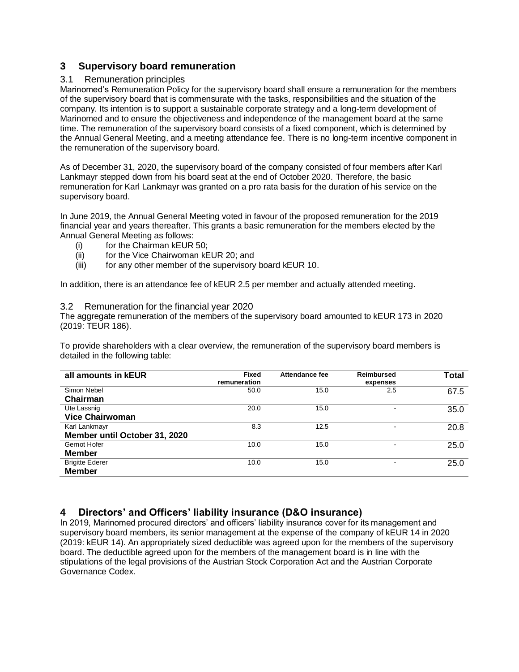## **3 Supervisory board remuneration**

#### 3.1 Remuneration principles

Marinomed's Remuneration Policy for the supervisory board shall ensure a remuneration for the members of the supervisory board that is commensurate with the tasks, responsibilities and the situation of the company. Its intention is to support a sustainable corporate strategy and a long-term development of Marinomed and to ensure the objectiveness and independence of the management board at the same time. The remuneration of the supervisory board consists of a fixed component, which is determined by the Annual General Meeting, and a meeting attendance fee. There is no long-term incentive component in the remuneration of the supervisory board.

As of December 31, 2020, the supervisory board of the company consisted of four members after Karl Lankmayr stepped down from his board seat at the end of October 2020. Therefore, the basic remuneration for Karl Lankmayr was granted on a pro rata basis for the duration of his service on the supervisory board.

In June 2019, the Annual General Meeting voted in favour of the proposed remuneration for the 2019 financial year and years thereafter. This grants a basic remuneration for the members elected by the Annual General Meeting as follows:

- (i) for the Chairman kEUR 50;
- (ii) for the Vice Chairwoman kEUR 20; and
- (iii) for any other member of the supervisory board kEUR 10.

In addition, there is an attendance fee of kEUR 2.5 per member and actually attended meeting.

#### 3.2 Remuneration for the financial year 2020

The aggregate remuneration of the members of the supervisory board amounted to kEUR 173 in 2020 (2019: TEUR 186).

To provide shareholders with a clear overview, the remuneration of the supervisory board members is detailed in the following table:

| all amounts in <b>kEUR</b>    | <b>Fixed</b><br>remuneration | Attendance fee | Reimbursed<br>expenses   | <b>Total</b> |
|-------------------------------|------------------------------|----------------|--------------------------|--------------|
| Simon Nebel                   | 50.0                         | 15.0           | 2.5                      | 67.5         |
| Chairman                      |                              |                |                          |              |
| Ute Lassnig                   | 20.0                         | 15.0           |                          | 35.0         |
| <b>Vice Chairwoman</b>        |                              |                |                          |              |
| Karl Lankmayr                 | 8.3                          | 12.5           | $\overline{\phantom{0}}$ | 20.8         |
| Member until October 31, 2020 |                              |                |                          |              |
| Gernot Hofer                  | 10.0                         | 15.0           |                          | 25.0         |
| Member                        |                              |                |                          |              |
| <b>Brigitte Ederer</b>        | 10.0                         | 15.0           | $\overline{\phantom{a}}$ | 25.0         |
| <b>Member</b>                 |                              |                |                          |              |

# **4 Directors' and Officers' liability insurance (D&O insurance)**

In 2019, Marinomed procured directors' and officers' liability insurance cover for its management and supervisory board members, its senior management at the expense of the company of kEUR 14 in 2020 (2019: kEUR 14). An appropriately sized deductible was agreed upon for the members of the supervisory board. The deductible agreed upon for the members of the management board is in line with the stipulations of the legal provisions of the Austrian Stock Corporation Act and the Austrian Corporate Governance Codex.